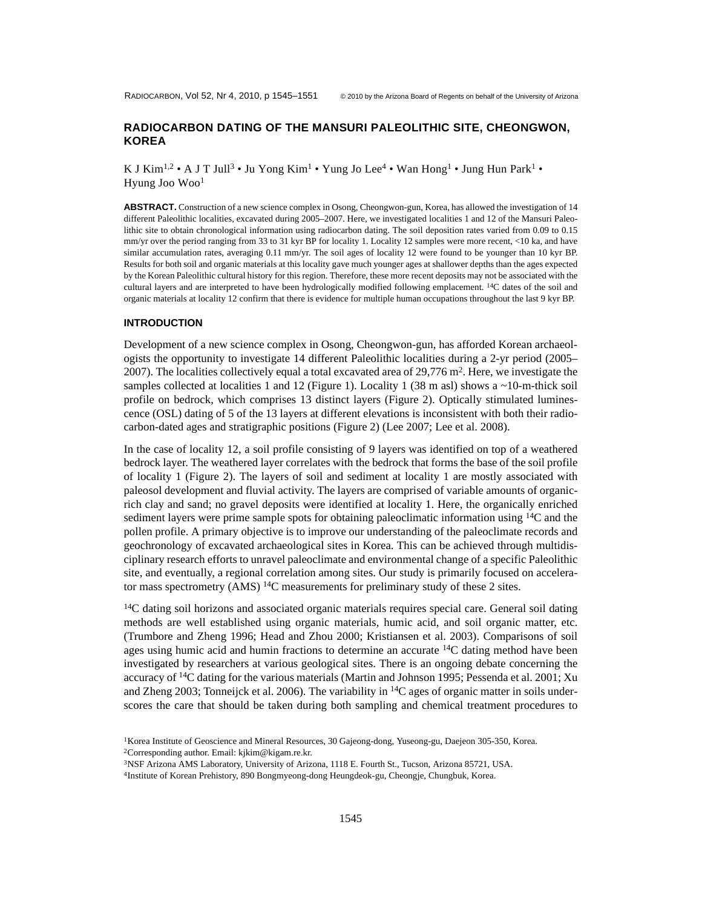# **RADIOCARBON DATING OF THE MANSURI PALEOLITHIC SITE, CHEONGWON, KOREA**

K J Kim<sup>1,2</sup> • A J T Jull<sup>3</sup> • Ju Yong Kim<sup>1</sup> • Yung Jo Lee<sup>4</sup> • Wan Hong<sup>1</sup> • Jung Hun Park<sup>1</sup> • Hyung Joo Woo1

**ABSTRACT.** Construction of a new science complex in Osong, Cheongwon-gun, Korea, has allowed the investigation of 14 different Paleolithic localities, excavated during 2005–2007. Here, we investigated localities 1 and 12 of the Mansuri Paleolithic site to obtain chronological information using radiocarbon dating. The soil deposition rates varied from 0.09 to 0.15 mm/yr over the period ranging from 33 to 31 kyr BP for locality 1. Locality 12 samples were more recent, <10 ka, and have similar accumulation rates, averaging 0.11 mm/yr. The soil ages of locality 12 were found to be younger than 10 kyr BP. Results for both soil and organic materials at this locality gave much younger ages at shallower depths than the ages expected by the Korean Paleolithic cultural history for this region. Therefore, these more recent deposits may not be associated with the cultural layers and are interpreted to have been hydrologically modified following emplacement. 14C dates of the soil and organic materials at locality 12 confirm that there is evidence for multiple human occupations throughout the last 9 kyr BP.

#### **INTRODUCTION**

Development of a new science complex in Osong, Cheongwon-gun, has afforded Korean archaeologists the opportunity to investigate 14 different Paleolithic localities during a 2-yr period (2005– 2007). The localities collectively equal a total excavated area of  $29,776$  m<sup>2</sup>. Here, we investigate the samples collected at localities 1 and 12 (Figure 1). Locality 1 (38 m asl) shows a  $\sim$ 10-m-thick soil profile on bedrock, which comprises 13 distinct layers (Figure 2). Optically stimulated luminescence (OSL) dating of 5 of the 13 layers at different elevations is inconsistent with both their radiocarbon-dated ages and stratigraphic positions (Figure 2) (Lee 2007; Lee et al. 2008).

In the case of locality 12, a soil profile consisting of 9 layers was identified on top of a weathered bedrock layer. The weathered layer correlates with the bedrock that forms the base of the soil profile of locality 1 (Figure 2). The layers of soil and sediment at locality 1 are mostly associated with paleosol development and fluvial activity. The layers are comprised of variable amounts of organicrich clay and sand; no gravel deposits were identified at locality 1. Here, the organically enriched sediment layers were prime sample spots for obtaining paleoclimatic information using 14C and the pollen profile. A primary objective is to improve our understanding of the paleoclimate records and geochronology of excavated archaeological sites in Korea. This can be achieved through multidisciplinary research efforts to unravel paleoclimate and environmental change of a specific Paleolithic site, and eventually, a regional correlation among sites. Our study is primarily focused on accelerator mass spectrometry (AMS) <sup>14</sup>C measurements for preliminary study of these 2 sites.

 $14C$  dating soil horizons and associated organic materials requires special care. General soil dating methods are well established using organic materials, humic acid, and soil organic matter, etc. (Trumbore and Zheng 1996; Head and Zhou 2000; Kristiansen et al. 2003). Comparisons of soil ages using humic acid and humin fractions to determine an accurate <sup>14</sup>C dating method have been investigated by researchers at various geological sites. There is an ongoing debate concerning the accuracy of <sup>14</sup>C dating for the various materials (Martin and Johnson 1995; Pessenda et al. 2001; Xu and Zheng 2003; Tonneijck et al. 2006). The variability in  ${}^{14}C$  ages of organic matter in soils underscores the care that should be taken during both sampling and chemical treatment procedures to

3NSF Arizona AMS Laboratory, University of Arizona, 1118 E. Fourth St., Tucson, Arizona 85721, USA.

4Institute of Korean Prehistory, 890 Bongmyeong-dong Heungdeok-gu, Cheongje, Chungbuk, Korea.

<sup>&</sup>lt;sup>1</sup>Korea Institute of Geoscience and Mineral Resources, 30 Gajeong-dong, Yuseong-gu, Daejeon 305-350, Korea. 2Corresponding author. Email: kjkim@kigam.re.kr.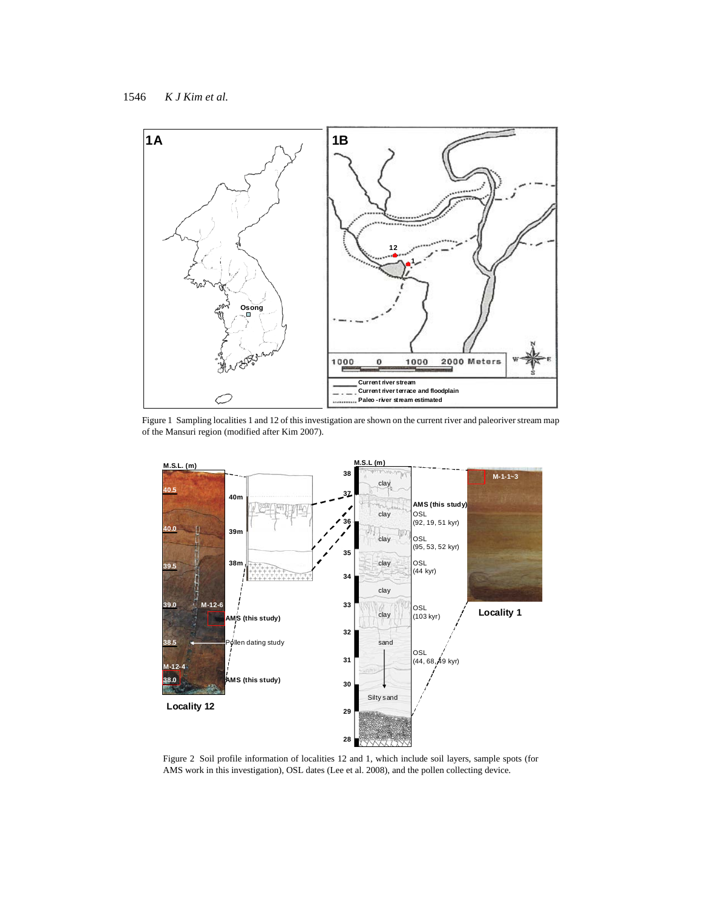1546 *K J Kim et al.*



Figure 1 Sampling localities 1 and 12 of this investigation are shown on the current river and paleoriver stream map of the Mansuri region (modified after Kim 2007).



Figure 2 Soil profile information of localities 12 and 1, which include soil layers, sample spots (for AMS work in this investigation), OSL dates (Lee et al. 2008), and the pollen collecting device.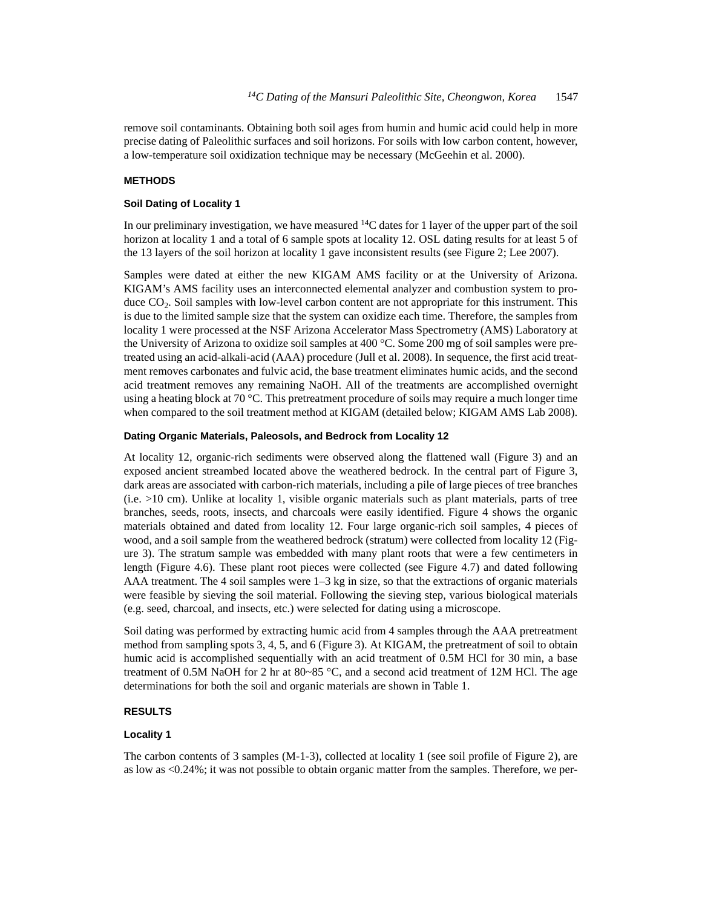remove soil contaminants. Obtaining both soil ages from humin and humic acid could help in more precise dating of Paleolithic surfaces and soil horizons. For soils with low carbon content, however, a low-temperature soil oxidization technique may be necessary (McGeehin et al. 2000).

## **METHODS**

#### **Soil Dating of Locality 1**

In our preliminary investigation, we have measured 14C dates for 1 layer of the upper part of the soil horizon at locality 1 and a total of 6 sample spots at locality 12. OSL dating results for at least 5 of the 13 layers of the soil horizon at locality 1 gave inconsistent results (see Figure 2; Lee 2007).

Samples were dated at either the new KIGAM AMS facility or at the University of Arizona. KIGAM's AMS facility uses an interconnected elemental analyzer and combustion system to produce CO<sub>2</sub>. Soil samples with low-level carbon content are not appropriate for this instrument. This is due to the limited sample size that the system can oxidize each time. Therefore, the samples from locality 1 were processed at the NSF Arizona Accelerator Mass Spectrometry (AMS) Laboratory at the University of Arizona to oxidize soil samples at 400 °C. Some 200 mg of soil samples were pretreated using an acid-alkali-acid (AAA) procedure (Jull et al. 2008). In sequence, the first acid treatment removes carbonates and fulvic acid, the base treatment eliminates humic acids, and the second acid treatment removes any remaining NaOH. All of the treatments are accomplished overnight using a heating block at 70 °C. This pretreatment procedure of soils may require a much longer time when compared to the soil treatment method at KIGAM (detailed below; KIGAM AMS Lab 2008).

#### **Dating Organic Materials, Paleosols, and Bedrock from Locality 12**

At locality 12, organic-rich sediments were observed along the flattened wall (Figure 3) and an exposed ancient streambed located above the weathered bedrock. In the central part of Figure 3, dark areas are associated with carbon-rich materials, including a pile of large pieces of tree branches (i.e. >10 cm). Unlike at locality 1, visible organic materials such as plant materials, parts of tree branches, seeds, roots, insects, and charcoals were easily identified. Figure 4 shows the organic materials obtained and dated from locality 12. Four large organic-rich soil samples, 4 pieces of wood, and a soil sample from the weathered bedrock (stratum) were collected from locality 12 (Figure 3). The stratum sample was embedded with many plant roots that were a few centimeters in length (Figure 4.6). These plant root pieces were collected (see Figure 4.7) and dated following AAA treatment. The 4 soil samples were 1–3 kg in size, so that the extractions of organic materials were feasible by sieving the soil material. Following the sieving step, various biological materials (e.g. seed, charcoal, and insects, etc.) were selected for dating using a microscope.

Soil dating was performed by extracting humic acid from 4 samples through the AAA pretreatment method from sampling spots 3, 4, 5, and 6 (Figure 3). At KIGAM, the pretreatment of soil to obtain humic acid is accomplished sequentially with an acid treatment of 0.5M HCl for 30 min, a base treatment of 0.5M NaOH for 2 hr at  $80~85$  °C, and a second acid treatment of 12M HCl. The age determinations for both the soil and organic materials are shown in Table 1.

### **RESULTS**

#### **Locality 1**

The carbon contents of 3 samples (M-1-3), collected at locality 1 (see soil profile of Figure 2), are as low as <0.24%; it was not possible to obtain organic matter from the samples. Therefore, we per-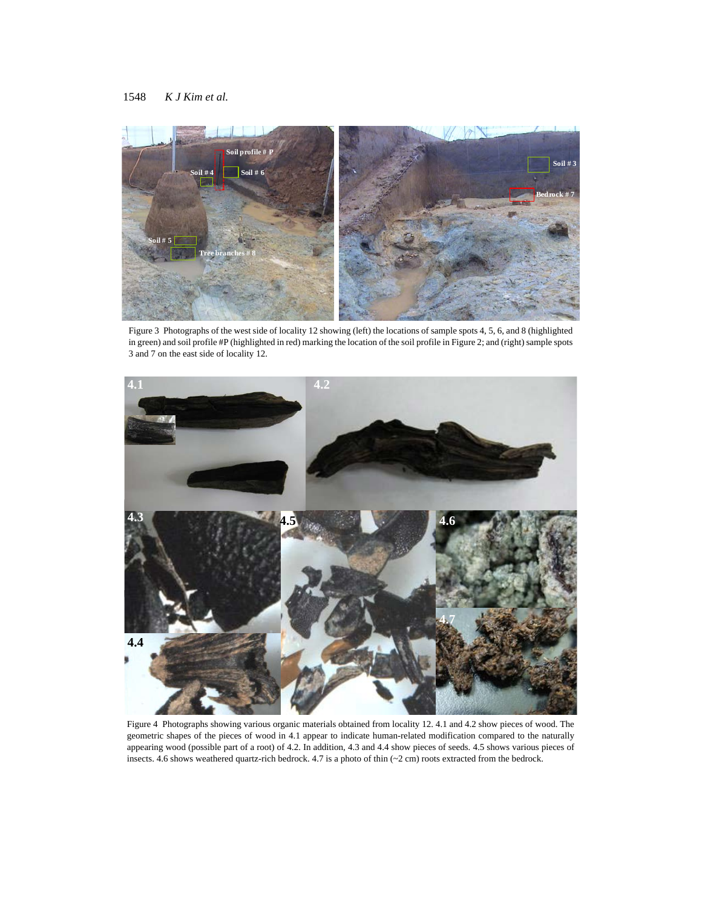

Figure 3 Photographs of the west side of locality 12 showing (left) the locations of sample spots 4, 5, 6, and 8 (highlighted in green) and soil profile #P (highlighted in red) marking the location of the soil profile in Figure 2; and (right) sample spots 3 and 7 on the east side of locality 12.



Figure 4 Photographs showing various organic materials obtained from locality 12. 4.1 and 4.2 show pieces of wood. The geometric shapes of the pieces of wood in 4.1 appear to indicate human-related modification compared to the naturally appearing wood (possible part of a root) of 4.2. In addition, 4.3 and 4.4 show pieces of seeds. 4.5 shows various pieces of insects. 4.6 shows weathered quartz-rich bedrock. 4.7 is a photo of thin  $(-2 \text{ cm})$  roots extracted from the bedrock.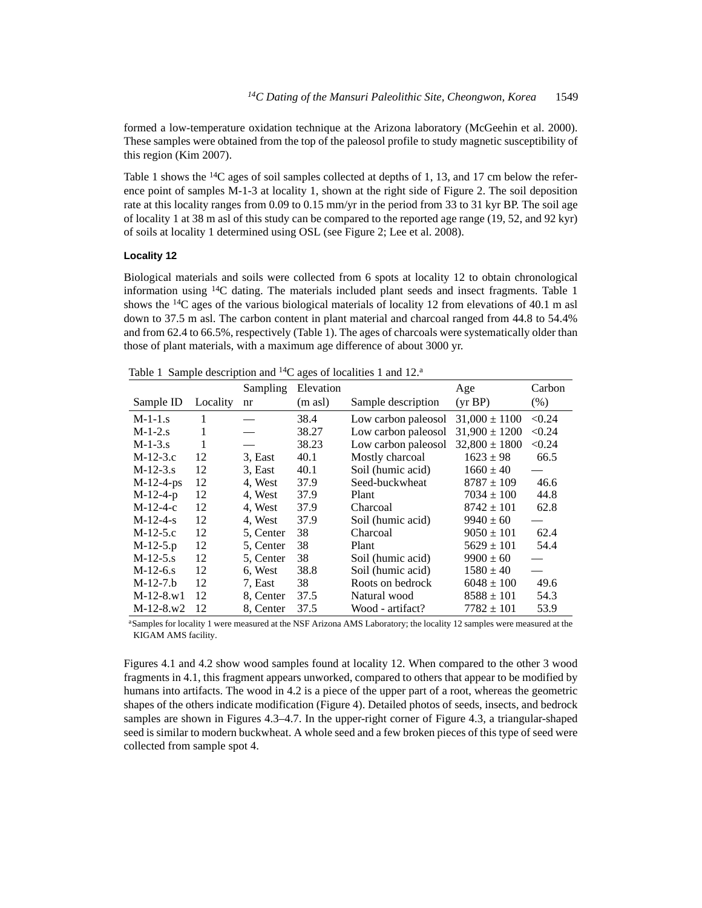formed a low-temperature oxidation technique at the Arizona laboratory (McGeehin et al. 2000). These samples were obtained from the top of the paleosol profile to study magnetic susceptibility of this region (Kim 2007).

Table 1 shows the  $^{14}C$  ages of soil samples collected at depths of 1, 13, and 17 cm below the reference point of samples M-1-3 at locality 1, shown at the right side of Figure 2. The soil deposition rate at this locality ranges from 0.09 to 0.15 mm/yr in the period from 33 to 31 kyr BP. The soil age of locality 1 at 38 m asl of this study can be compared to the reported age range (19, 52, and 92 kyr) of soils at locality 1 determined using OSL (see Figure 2; Lee et al. 2008).

### **Locality 12**

Biological materials and soils were collected from 6 spots at locality 12 to obtain chronological information using  $14C$  dating. The materials included plant seeds and insect fragments. Table 1 shows the  $^{14}C$  ages of the various biological materials of locality 12 from elevations of 40.1 m asl down to 37.5 m asl. The carbon content in plant material and charcoal ranged from 44.8 to 54.4% and from 62.4 to 66.5%, respectively (Table 1). The ages of charcoals were systematically older than those of plant materials, with a maximum age difference of about 3000 yr.

|             |          | Sampling  | Elevation           |                     | Age               | Carbon |
|-------------|----------|-----------|---------------------|---------------------|-------------------|--------|
| Sample ID   | Locality | nr        | $(m \text{ as } l)$ | Sample description  | (yr BP)           | (% )   |
| $M-1-1.s$   | 1        |           | 38.4                | Low carbon paleosol | $31,000 \pm 1100$ | < 0.24 |
| $M-1-2.s$   | 1        |           | 38.27               | Low carbon paleosol | $31,900 \pm 1200$ | < 0.24 |
| $M-1-3.5$   | 1        |           | 38.23               | Low carbon paleosol | $32.800 \pm 1800$ | < 0.24 |
| $M-12-3.c$  | 12       | 3. East   | 40.1                | Mostly charcoal     | $1623 \pm 98$     | 66.5   |
| $M-12-3.5$  | 12       | 3. East   | 40.1                | Soil (humic acid)   | $1660 \pm 40$     |        |
| $M-12-4-ps$ | 12       | 4, West   | 37.9                | Seed-buckwheat      | $8787 \pm 109$    | 46.6   |
| $M-12-4-p$  | 12       | 4, West   | 37.9                | Plant               | $7034 \pm 100$    | 44.8   |
| $M-12-4-c$  | 12       | 4, West   | 37.9                | Charcoal            | $8742 \pm 101$    | 62.8   |
| $M-12-4-s$  | 12       | 4, West   | 37.9                | Soil (humic acid)   | $9940 \pm 60$     |        |
| $M-12-5.c$  | 12       | 5, Center | 38                  | Charcoal            | $9050 \pm 101$    | 62.4   |
| $M-12-5.p$  | 12       | 5. Center | 38                  | Plant               | $5629 \pm 101$    | 54.4   |
| $M-12-5. s$ | 12       | 5. Center | 38                  | Soil (humic acid)   | $9900 \pm 60$     |        |
| $M-12-6.5$  | 12       | 6. West   | 38.8                | Soil (humic acid)   | $1580 \pm 40$     |        |
| $M-12-7.b$  | 12       | 7. East   | 38                  | Roots on bedrock    | $6048 \pm 100$    | 49.6   |
| $M-12-8.w1$ | 12       | 8. Center | 37.5                | Natural wood        | $8588 \pm 101$    | 54.3   |
| $M-12-8.w2$ | 12       | 8. Center | 37.5                | Wood - artifact?    | $7782 \pm 101$    | 53.9   |

Table 1 Sample description and <sup>14</sup>C ages of localities 1 and 12.<sup>a</sup>

aSamples for locality 1 were measured at the NSF Arizona AMS Laboratory; the locality 12 samples were measured at the KIGAM AMS facility.

Figures 4.1 and 4.2 show wood samples found at locality 12. When compared to the other 3 wood fragments in 4.1, this fragment appears unworked, compared to others that appear to be modified by humans into artifacts. The wood in 4.2 is a piece of the upper part of a root, whereas the geometric shapes of the others indicate modification (Figure 4). Detailed photos of seeds, insects, and bedrock samples are shown in Figures 4.3–4.7. In the upper-right corner of Figure 4.3, a triangular-shaped seed is similar to modern buckwheat. A whole seed and a few broken pieces of this type of seed were collected from sample spot 4.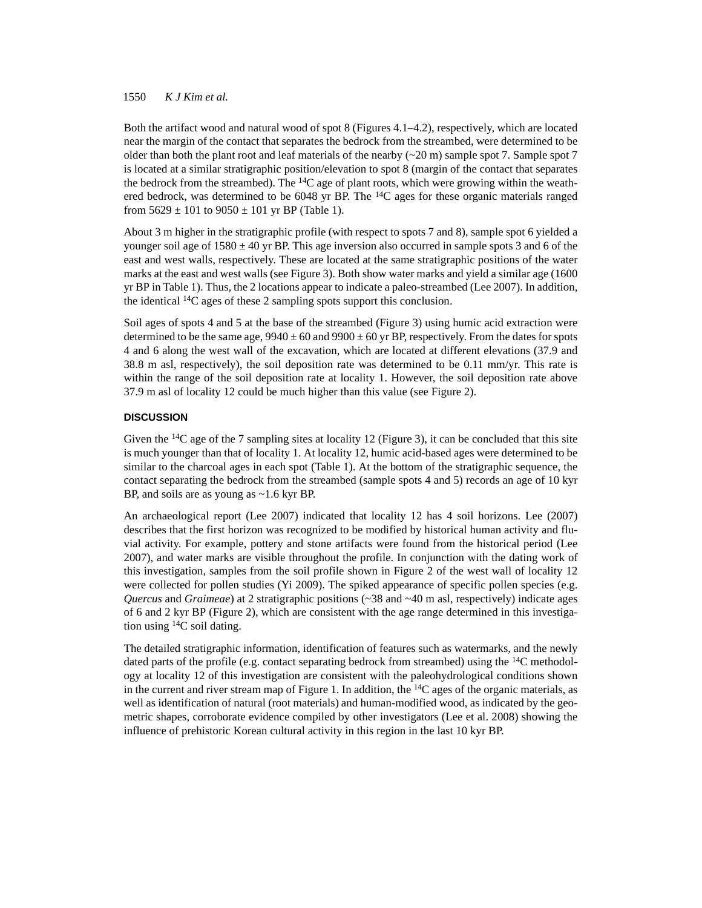## 1550 *K J Kim et al.*

Both the artifact wood and natural wood of spot 8 (Figures 4.1–4.2), respectively, which are located near the margin of the contact that separates the bedrock from the streambed, were determined to be older than both the plant root and leaf materials of the nearby  $({\sim}20 \text{ m})$  sample spot 7. Sample spot 7 is located at a similar stratigraphic position/elevation to spot 8 (margin of the contact that separates the bedrock from the streambed). The  $^{14}C$  age of plant roots, which were growing within the weathered bedrock, was determined to be 6048 yr BP. The  $^{14}C$  ages for these organic materials ranged from  $5629 \pm 101$  to  $9050 \pm 101$  yr BP (Table 1).

About 3 m higher in the stratigraphic profile (with respect to spots 7 and 8), sample spot 6 yielded a younger soil age of  $1580 \pm 40$  yr BP. This age inversion also occurred in sample spots 3 and 6 of the east and west walls, respectively. These are located at the same stratigraphic positions of the water marks at the east and west walls (see Figure 3). Both show water marks and yield a similar age (1600 yr BP in Table 1). Thus, the 2 locations appear to indicate a paleo-streambed (Lee 2007). In addition, the identical 14C ages of these 2 sampling spots support this conclusion.

Soil ages of spots 4 and 5 at the base of the streambed (Figure 3) using humic acid extraction were determined to be the same age,  $9940 \pm 60$  and  $9900 \pm 60$  yr BP, respectively. From the dates for spots 4 and 6 along the west wall of the excavation, which are located at different elevations (37.9 and 38.8 m asl, respectively), the soil deposition rate was determined to be 0.11 mm/yr. This rate is within the range of the soil deposition rate at locality 1. However, the soil deposition rate above 37.9 m asl of locality 12 could be much higher than this value (see Figure 2).

## **DISCUSSION**

Given the  $^{14}C$  age of the 7 sampling sites at locality 12 (Figure 3), it can be concluded that this site is much younger than that of locality 1. At locality 12, humic acid-based ages were determined to be similar to the charcoal ages in each spot (Table 1). At the bottom of the stratigraphic sequence, the contact separating the bedrock from the streambed (sample spots 4 and 5) records an age of 10 kyr BP, and soils are as young as ~1.6 kyr BP.

An archaeological report (Lee 2007) indicated that locality 12 has 4 soil horizons. Lee (2007) describes that the first horizon was recognized to be modified by historical human activity and fluvial activity. For example, pottery and stone artifacts were found from the historical period (Lee 2007), and water marks are visible throughout the profile. In conjunction with the dating work of this investigation, samples from the soil profile shown in Figure 2 of the west wall of locality 12 were collected for pollen studies (Yi 2009). The spiked appearance of specific pollen species (e.g. *Quercus* and *Graimeae*) at 2 stratigraphic positions (~38 and ~40 m asl, respectively) indicate ages of 6 and 2 kyr BP (Figure 2), which are consistent with the age range determined in this investigation using  $^{14}$ C soil dating.

The detailed stratigraphic information, identification of features such as watermarks, and the newly dated parts of the profile (e.g. contact separating bedrock from streambed) using the  $^{14}C$  methodology at locality 12 of this investigation are consistent with the paleohydrological conditions shown in the current and river stream map of Figure 1. In addition, the  $14C$  ages of the organic materials, as well as identification of natural (root materials) and human-modified wood, as indicated by the geometric shapes, corroborate evidence compiled by other investigators (Lee et al. 2008) showing the influence of prehistoric Korean cultural activity in this region in the last 10 kyr BP.